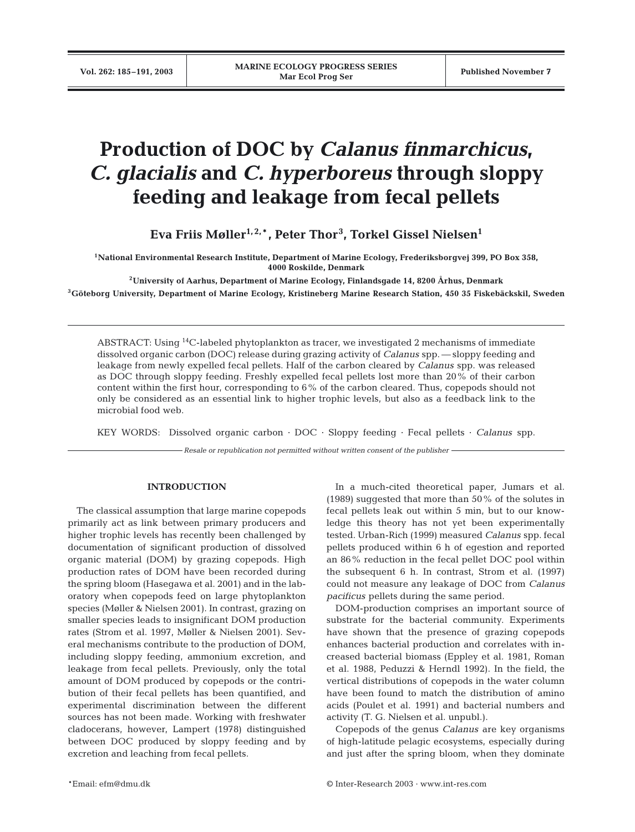# **Production of DOC by** *Calanus finmarchicus***,**  *C. glacialis* **and** *C. hyperboreus* **through sloppy feeding and leakage from fecal pellets**

**Eva Friis Møller1, 2,**\***, Peter Thor<sup>3</sup> , Torkel Gissel Nielsen1**

**1National Environmental Research Institute, Department of Marine Ecology, Frederiksborgvej 399, PO Box 358, 4000 Roskilde, Denmark**

**2University of Aarhus, Department of Marine Ecology, Finlandsgade 14, 8200 Århus, Denmark**

**3Göteborg University, Department of Marine Ecology, Kristineberg Marine Research Station, 450 35 Fiskebäckskil, Sweden**

ABSTRACT: Using <sup>14</sup>C-labeled phytoplankton as tracer, we investigated 2 mechanisms of immediate dissolved organic carbon (DOC) release during grazing activity of *Calanus* spp. — sloppy feeding and leakage from newly expelled fecal pellets. Half of the carbon cleared by *Calanus* spp. was released as DOC through sloppy feeding. Freshly expelled fecal pellets lost more than 20% of their carbon content within the first hour, corresponding to 6% of the carbon cleared. Thus, copepods should not only be considered as an essential link to higher trophic levels, but also as a feedback link to the microbial food web.

KEY WORDS: Dissolved organic carbon · DOC · Sloppy feeding · Fecal pellets · *Calanus* spp.

*Resale or republication not permitted without written consent of the publisher*

# **INTRODUCTION**

The classical assumption that large marine copepods primarily act as link between primary producers and higher trophic levels has recently been challenged by documentation of significant production of dissolved organic material (DOM) by grazing copepods. High production rates of DOM have been recorded during the spring bloom (Hasegawa et al. 2001) and in the laboratory when copepods feed on large phytoplankton species (Møller & Nielsen 2001). In contrast, grazing on smaller species leads to insignificant DOM production rates (Strom et al. 1997, Møller & Nielsen 2001). Several mechanisms contribute to the production of DOM, including sloppy feeding, ammonium excretion, and leakage from fecal pellets. Previously, only the total amount of DOM produced by copepods or the contribution of their fecal pellets has been quantified, and experimental discrimination between the different sources has not been made. Working with freshwater cladocerans, however, Lampert (1978) distinguished between DOC produced by sloppy feeding and by excretion and leaching from fecal pellets.

In a much-cited theoretical paper, Jumars et al. (1989) suggested that more than 50% of the solutes in fecal pellets leak out within 5 min, but to our knowledge this theory has not yet been experimentally tested. Urban-Rich (1999) measured *Calanus* spp. fecal pellets produced within 6 h of egestion and reported an 86% reduction in the fecal pellet DOC pool within the subsequent 6 h. In contrast, Strom et al. (1997) could not measure any leakage of DOC from *Calanus pacificus* pellets during the same period.

DOM-production comprises an important source of substrate for the bacterial community. Experiments have shown that the presence of grazing copepods enhances bacterial production and correlates with increased bacterial biomass (Eppley et al. 1981, Roman et al. 1988, Peduzzi & Herndl 1992). In the field, the vertical distributions of copepods in the water column have been found to match the distribution of amino acids (Poulet et al. 1991) and bacterial numbers and activity (T. G. Nielsen et al. unpubl.).

Copepods of the genus *Calanus* are key organisms of high-latitude pelagic ecosystems, especially during and just after the spring bloom, when they dominate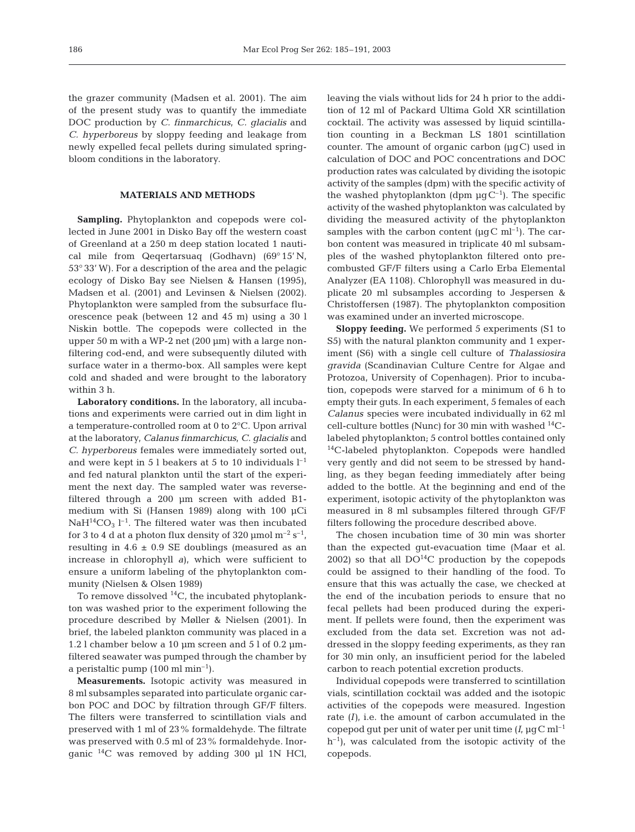the grazer community (Madsen et al. 2001). The aim of the present study was to quantify the immediate DOC production by *C. finmarchicus*, *C. glacialis* and *C. hyperboreus* by sloppy feeding and leakage from newly expelled fecal pellets during simulated springbloom conditions in the laboratory.

# **MATERIALS AND METHODS**

**Sampling.** Phytoplankton and copepods were collected in June 2001 in Disko Bay off the western coast of Greenland at a 250 m deep station located 1 nautical mile from Qeqertarsuaq (Godhavn) (69° 15' N, 53° 33' W). For a description of the area and the pelagic ecology of Disko Bay see Nielsen & Hansen (1995), Madsen et al. (2001) and Levinsen & Nielsen (2002). Phytoplankton were sampled from the subsurface fluorescence peak (between 12 and 45 m) using a 30 l Niskin bottle. The copepods were collected in the upper 50 m with a WP-2 net (200 µm) with a large nonfiltering cod-end, and were subsequently diluted with surface water in a thermo-box. All samples were kept cold and shaded and were brought to the laboratory within 3 h.

**Laboratory conditions.** In the laboratory, all incubations and experiments were carried out in dim light in a temperature-controlled room at 0 to 2°C. Upon arrival at the laboratory, *Calanus finmarchicus, C. glacialis* and *C. hyperboreus* females were immediately sorted out, and were kept in 5 l beakers at 5 to 10 individuals  $l^{-1}$ and fed natural plankton until the start of the experiment the next day. The sampled water was reversefiltered through a 200 µm screen with added B1 medium with Si (Hansen 1989) along with 100 µCi  $NaH^{14}CO<sub>3</sub>$  l<sup>-1</sup>. The filtered water was then incubated for 3 to 4 d at a photon flux density of 320  $\mu$ mol m<sup>-2</sup> s<sup>-1</sup>, resulting in  $4.6 \pm 0.9$  SE doublings (measured as an increase in chlorophyll *a*), which were sufficient to ensure a uniform labeling of the phytoplankton community (Nielsen & Olsen 1989)

To remove dissolved  $^{14}C$ , the incubated phytoplankton was washed prior to the experiment following the procedure described by Møller & Nielsen (2001). In brief, the labeled plankton community was placed in a 1.2 l chamber below a 10  $\mu$ m screen and 5 l of 0.2  $\mu$ mfiltered seawater was pumped through the chamber by a peristaltic pump  $(100 \text{ ml min}^{-1})$ .

**Measurements.** Isotopic activity was measured in 8 ml subsamples separated into particulate organic carbon POC and DOC by filtration through GF/F filters. The filters were transferred to scintillation vials and preserved with 1 ml of 23% formaldehyde. The filtrate was preserved with 0.5 ml of 23% formaldehyde. Inorganic 14C was removed by adding 300 µl 1N HCl, leaving the vials without lids for 24 h prior to the addition of 12 ml of Packard Ultima Gold XR scintillation cocktail. The activity was assessed by liquid scintillation counting in a Beckman LS 1801 scintillation counter. The amount of organic carbon (µgC) used in calculation of DOC and POC concentrations and DOC production rates was calculated by dividing the isotopic activity of the samples (dpm) with the specific activity of the washed phytoplankton (dpm  $\mu$ gC<sup>-1</sup>). The specific activity of the washed phytoplankton was calculated by dividing the measured activity of the phytoplankton samples with the carbon content ( $\mu$ gC ml<sup>-1</sup>). The carbon content was measured in triplicate 40 ml subsamples of the washed phytoplankton filtered onto precombusted GF/F filters using a Carlo Erba Elemental Analyzer (EA 1108). Chlorophyll was measured in duplicate 20 ml subsamples according to Jespersen & Christoffersen (1987). The phytoplankton composition was examined under an inverted microscope.

**Sloppy feeding.** We performed 5 experiments (S1 to S5) with the natural plankton community and 1 experiment (S6) with a single cell culture of *Thalassiosira gravida* (Scandinavian Culture Centre for Algae and Protozoa, University of Copenhagen). Prior to incubation, copepods were starved for a minimum of 6 h to empty their guts. In each experiment, 5 females of each *Calanus* species were incubated individually in 62 ml cell-culture bottles (Nunc) for 30 min with washed  $^{14}$ Clabeled phytoplankton; 5 control bottles contained only <sup>14</sup>C-labeled phytoplankton. Copepods were handled very gently and did not seem to be stressed by handling, as they began feeding immediately after being added to the bottle. At the beginning and end of the experiment, isotopic activity of the phytoplankton was measured in 8 ml subsamples filtered through GF/F filters following the procedure described above.

The chosen incubation time of 30 min was shorter than the expected gut-evacuation time (Maar et al. 2002) so that all  $DO<sup>14</sup>C$  production by the copepods could be assigned to their handling of the food. To ensure that this was actually the case, we checked at the end of the incubation periods to ensure that no fecal pellets had been produced during the experiment. If pellets were found, then the experiment was excluded from the data set. Excretion was not addressed in the sloppy feeding experiments, as they ran for 30 min only, an insufficient period for the labeled carbon to reach potential excretion products.

Individual copepods were transferred to scintillation vials, scintillation cocktail was added and the isotopic activities of the copepods were measured. Ingestion rate *(I)*, i.e. the amount of carbon accumulated in the copepod gut per unit of water per unit time  $(I, \mu q C \text{ ml}^{-1})$  $h^{-1}$ ), was calculated from the isotopic activity of the copepods.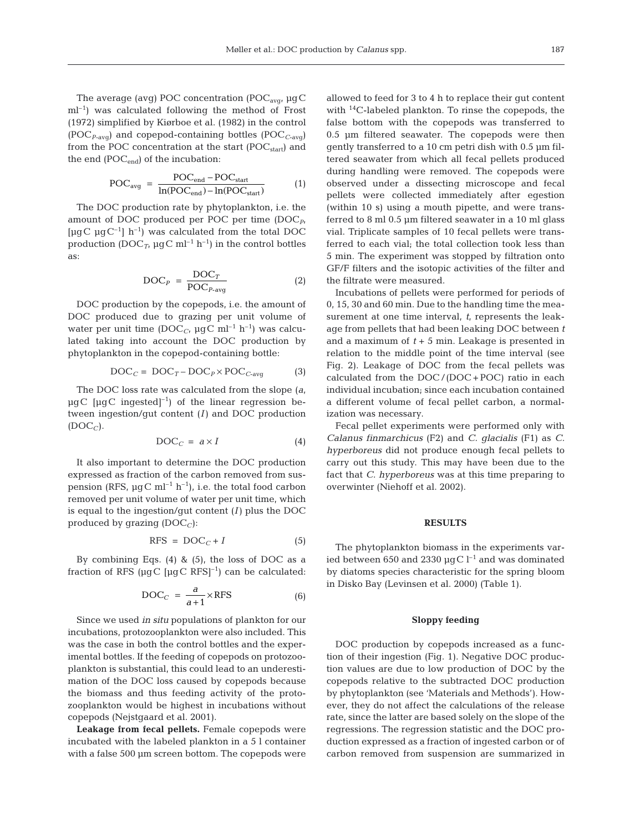The average (avg) POC concentration (POC<sub>avg</sub>,  $\mu$ gC ml–1) was calculated following the method of Frost (1972) simplified by Kiørboe et al. (1982) in the control  $(POC_{P\text{-avg}})$  and copepod-containing bottles  $(POC_{C\text{-avg}})$ from the POC concentration at the start  $(POC_{start})$  and the end  $(POC_{end})$  of the incubation:

$$
POC_{avg} = \frac{POC_{end} - POC_{start}}{ln(POC_{end}) - ln(POC_{start})}
$$
 (1)

The DOC production rate by phytoplankton, i.e. the amount of DOC produced per POC per time (DOC*P*, [ $\mu$ gC  $\mu$ gC<sup>-1</sup>] h<sup>-1</sup>) was calculated from the total DOC production (DOC<sub>*T*</sub>,  $\mu$ gC ml<sup>-1</sup> h<sup>-1</sup>) in the control bottles as:

$$
DOC_{P} = \frac{DOC_{T}}{POC_{P\text{-avg}}}
$$
 (2)

DOC production by the copepods, i.e. the amount of DOC produced due to grazing per unit volume of water per unit time (DOC<sub>C</sub>,  $\mu$ gC ml<sup>-1</sup> h<sup>-1</sup>) was calculated taking into account the DOC production by phytoplankton in the copepod-containing bottle:

$$
DOC_C = DOC_T - DOC_P \times POC_{C\text{-avg}} \tag{3}
$$

The DOC loss rate was calculated from the slope (*a*,  $\mu$ gC [ $\mu$ gC ingested]<sup>-1</sup>) of the linear regression between ingestion/gut content *(I)* and DOC production  $(DOC_C)$ .

$$
DOC_C = a \times I \tag{4}
$$

It also important to determine the DOC production expressed as fraction of the carbon removed from suspension (RFS,  $\mu$ gC ml<sup>-1</sup> h<sup>-1</sup>), i.e. the total food carbon removed per unit volume of water per unit time, which is equal to the ingestion/gut content *(I)* plus the DOC produced by grazing  $(DOC_C)$ :

$$
RFS = DOC_C + I \tag{5}
$$

By combining Eqs.  $(4)$  &  $(5)$ , the loss of DOC as a fraction of RFS ( $\mu$ gC  $[\mu$ gC RFS $]$ <sup>-1</sup>) can be calculated:

$$
DOC_C = \frac{a}{a+1} \times RFS \tag{6}
$$

Since we used *in situ* populations of plankton for our incubations, protozooplankton were also included. This was the case in both the control bottles and the experimental bottles. If the feeding of copepods on protozooplankton is substantial, this could lead to an underestimation of the DOC loss caused by copepods because the biomass and thus feeding activity of the protozooplankton would be highest in incubations without copepods (Nejstgaard et al. 2001).

**Leakage from fecal pellets.** Female copepods were incubated with the labeled plankton in a 5 l container with a false 500  $\mu$ m screen bottom. The copepods were

allowed to feed for 3 to 4 h to replace their gut content with 14C-labeled plankton. To rinse the copepods, the false bottom with the copepods was transferred to 0.5 µm filtered seawater. The copepods were then gently transferred to a 10 cm petri dish with 0.5 µm filtered seawater from which all fecal pellets produced during handling were removed. The copepods were observed under a dissecting microscope and fecal pellets were collected immediately after egestion (within 10 s) using a mouth pipette, and were transferred to 8 ml 0.5 µm filtered seawater in a 10 ml glass vial. Triplicate samples of 10 fecal pellets were transferred to each vial; the total collection took less than 5 min. The experiment was stopped by filtration onto GF/F filters and the isotopic activities of the filter and the filtrate were measured.

Incubations of pellets were performed for periods of 0, 15, 30 and 60 min. Due to the handling time the measurement at one time interval, *t*, represents the leakage from pellets that had been leaking DOC between *t* and a maximum of  $t + 5$  min. Leakage is presented in relation to the middle point of the time interval (see Fig. 2). Leakage of DOC from the fecal pellets was calculated from the DOC /(DOC + POC) ratio in each individual incubation; since each incubation contained a different volume of fecal pellet carbon, a normalization was necessary.

Fecal pellet experiments were performed only with *Calanus finmarchicus* (F2) and *C. glacialis* (F1) as *C. hyperboreus* did not produce enough fecal pellets to carry out this study. This may have been due to the fact that *C. hyperboreus* was at this time preparing to overwinter (Niehoff et al. 2002).

## **RESULTS**

The phytoplankton biomass in the experiments varied between 650 and 2330  $\mu$ gC l<sup>-1</sup> and was dominated by diatoms species characteristic for the spring bloom in Disko Bay (Levinsen et al. 2000) (Table 1).

## **Sloppy feeding**

DOC production by copepods increased as a function of their ingestion (Fig. 1). Negative DOC production values are due to low production of DOC by the copepods relative to the subtracted DOC production by phytoplankton (see 'Materials and Methods'). However, they do not affect the calculations of the release rate, since the latter are based solely on the slope of the regressions. The regression statistic and the DOC production expressed as a fraction of ingested carbon or of carbon removed from suspension are summarized in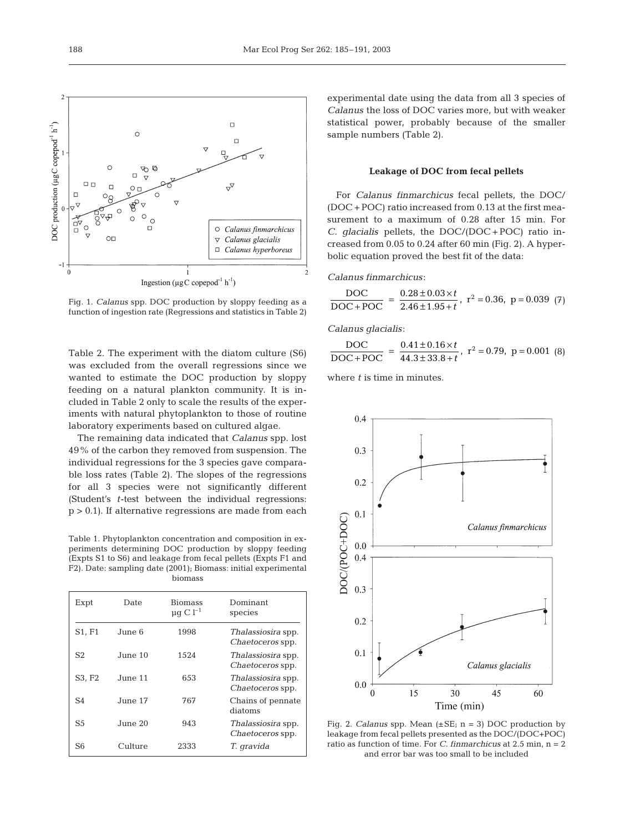

Fig. 1. *Calanus* spp. DOC production by sloppy feeding as a function of ingestion rate (Regressions and statistics in Table 2)

Table 2. The experiment with the diatom culture (S6) was excluded from the overall regressions since we wanted to estimate the DOC production by sloppy feeding on a natural plankton community. It is included in Table 2 only to scale the results of the experiments with natural phytoplankton to those of routine laboratory experiments based on cultured algae.

The remaining data indicated that *Calanus* spp. lost 49% of the carbon they removed from suspension. The individual regressions for the 3 species gave comparable loss rates (Table 2). The slopes of the regressions for all 3 species were not significantly different (Student's *t*-test between the individual regressions:  $p > 0.1$ ). If alternative regressions are made from each

Table 1. Phytoplankton concentration and composition in experiments determining DOC production by sloppy feeding (Expts S1 to S6) and leakage from fecal pellets (Expts F1 and F2). Date: sampling date (2001); Biomass: initial experimental biomass

| Expt           | Date    | <b>Biomass</b><br>$\mu$ q C l <sup>-1</sup> | Dominant<br>species                                  |
|----------------|---------|---------------------------------------------|------------------------------------------------------|
| S1, F1         | June 6  | 1998                                        | <i>Thalassiosira</i> spp.<br>Chaetoceros spp.        |
| S <sub>2</sub> | June 10 | 1524                                        | <i>Thalassiosira</i> spp.<br>Chaetoceros spp.        |
| S3, F2         | June 11 | 653                                         | <i>Thalassiosira</i> spp.<br><i>Chaetoceros</i> spp. |
| S <sub>4</sub> | June 17 | 767                                         | Chains of pennate<br>diatoms                         |
| S <sub>5</sub> | June 20 | 943                                         | Thalassiosira spp.<br><i>Chaetoceros</i> spp.        |
| S6             | Culture | 2333                                        | T. gravida                                           |

experimental date using the data from all 3 species of *Calanus* the loss of DOC varies more, but with weaker statistical power, probably because of the smaller sample numbers (Table 2).

#### **Leakage of DOC from fecal pellets**

For *Calanus finmarchicus* fecal pellets, the DOC/ (DOC + POC) ratio increased from 0.13 at the first measurement to a maximum of 0.28 after 15 min. For *C. glacialis* pellets, the DOC/(DOC + POC) ratio increased from 0.05 to 0.24 after 60 min (Fig. 2). A hyperbolic equation proved the best fit of the data:

*Calanus finmarchicus*:

$$
\frac{\text{DOC}}{\text{DOC} + \text{POC}} = \frac{0.28 \pm 0.03 \times t}{2.46 \pm 1.95 + t}, \text{ r}^2 = 0.36, \text{ p} = 0.039 \text{ (7)}
$$

*Calanus glacialis*:

 $\frac{\text{DOC}}{\text{DOC} + \text{POC}} = \frac{0.41 \pm 0.16 \times t}{44.3 \pm 33.8 + t}$ ,  $r^2 = 0.79$ ,  $p = 0.001$  (8) DOC

where *t* is time in minutes.



Fig. 2. *Calanus* spp. Mean (±SE; n = 3) DOC production by leakage from fecal pellets presented as the DOC/(DOC+POC) ratio as function of time. For *C. finmarchicus* at 2.5 min, n = 2 and error bar was too small to be included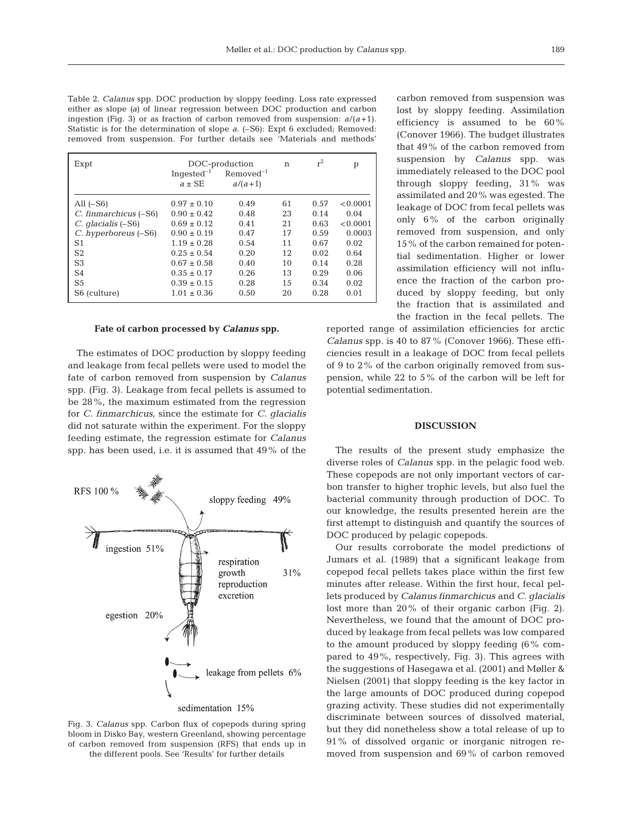Table 2. *Calanus* spp. DOC production by sloppy feeding. Loss rate expressed either as slope *(a)* of linear regression between DOC production and carbon ingestion (Fig. 3) or as fraction of carbon removed from suspension:  $a/(a+1)$ . Statistic is for the determination of slope *a*. (–S6): Expt 6 excluded; Removed: removed from suspension. For further details see 'Materials and methods'

| Expt                     | Ingested <sup>-1</sup><br>$a \pm SE$ | DOC-production<br>$Removed-1$<br>$a/(a+1)$ | n  | $r^2$ | p        |
|--------------------------|--------------------------------------|--------------------------------------------|----|-------|----------|
| All $(-S6)$              | $0.97 \pm 0.10$                      | 0.49                                       | 61 | 0.57  | < 0.0001 |
| C. finmarchicus (–S6)    | $0.90 \pm 0.42$                      | 0.48                                       | 23 | 0.14  | 0.04     |
| $C.$ qlacialis $(-S6)$   | $0.69 \pm 0.12$                      | 0.41                                       | 21 | 0.63  | < 0.0001 |
| C. hyperboreus (-S6)     | $0.90 \pm 0.19$                      | 0.47                                       | 17 | 0.59  | 0.0003   |
| S1                       | $1.19 \pm 0.28$                      | 0.54                                       | 11 | 0.67  | 0.02     |
| S <sub>2</sub>           | $0.25 \pm 0.54$                      | 0.20                                       | 12 | 0.02  | 0.64     |
| S <sub>3</sub>           | $0.67 \pm 0.58$                      | 0.40                                       | 10 | 0.14  | 0.28     |
| S <sub>4</sub>           | $0.35 \pm 0.17$                      | 0.26                                       | 13 | 0.29  | 0.06     |
| S <sub>5</sub>           | $0.39 \pm 0.15$                      | 0.28                                       | 15 | 0.34  | 0.02     |
| S <sub>6</sub> (culture) | $1.01 \pm 0.36$                      | 0.50                                       | 20 | 0.28  | 0.01     |

#### **Fate of carbon processed by** *Calanus* **spp.**

The estimates of DOC production by sloppy feeding and leakage from fecal pellets were used to model the fate of carbon removed from suspension by *Calanus* spp. (Fig. 3). Leakage from fecal pellets is assumed to be 28%, the maximum estimated from the regression for *C. finmarchicus,* since the estimate for *C. glacialis* did not saturate within the experiment. For the sloppy feeding estimate, the regression estimate for *Calanus* spp. has been used, i.e. it is assumed that 49% of the





carbon removed from suspension was lost by sloppy feeding. Assimilation efficiency is assumed to be 60% (Conover 1966). The budget illustrates that 49% of the carbon removed from suspension by *Calanus* spp. was immediately released to the DOC pool through sloppy feeding, 31% was assimilated and 20% was egested. The leakage of DOC from fecal pellets was only 6% of the carbon originally removed from suspension, and only 15% of the carbon remained for potential sedimentation. Higher or lower assimilation efficiency will not influence the fraction of the carbon produced by sloppy feeding, but only the fraction that is assimilated and the fraction in the fecal pellets. The

reported range of assimilation efficiencies for arctic *Calanus* spp. is 40 to 87% (Conover 1966). These efficiencies result in a leakage of DOC from fecal pellets of 9 to 2% of the carbon originally removed from suspension, while 22 to 5% of the carbon will be left for potential sedimentation.

## **DISCUSSION**

The results of the present study emphasize the diverse roles of *Calanus* spp. in the pelagic food web. These copepods are not only important vectors of carbon transfer to higher trophic levels, but also fuel the bacterial community through production of DOC. To our knowledge, the results presented herein are the first attempt to distinguish and quantify the sources of DOC produced by pelagic copepods.

Our results corroborate the model predictions of Jumars et al. (1989) that a significant leakage from copepod fecal pellets takes place within the first few minutes after release. Within the first hour, fecal pellets produced by *Calanus finmarchicus* and *C. glacialis* lost more than 20% of their organic carbon (Fig. 2). Nevertheless, we found that the amount of DOC produced by leakage from fecal pellets was low compared to the amount produced by sloppy feeding (6% compared to 49%, respectively, Fig. 3). This agrees with the suggestions of Hasegawa et al. (2001) and Møller & Nielsen (2001) that sloppy feeding is the key factor in the large amounts of DOC produced during copepod grazing activity. These studies did not experimentally discriminate between sources of dissolved material, but they did nonetheless show a total release of up to 91% of dissolved organic or inorganic nitrogen removed from suspension and 69% of carbon removed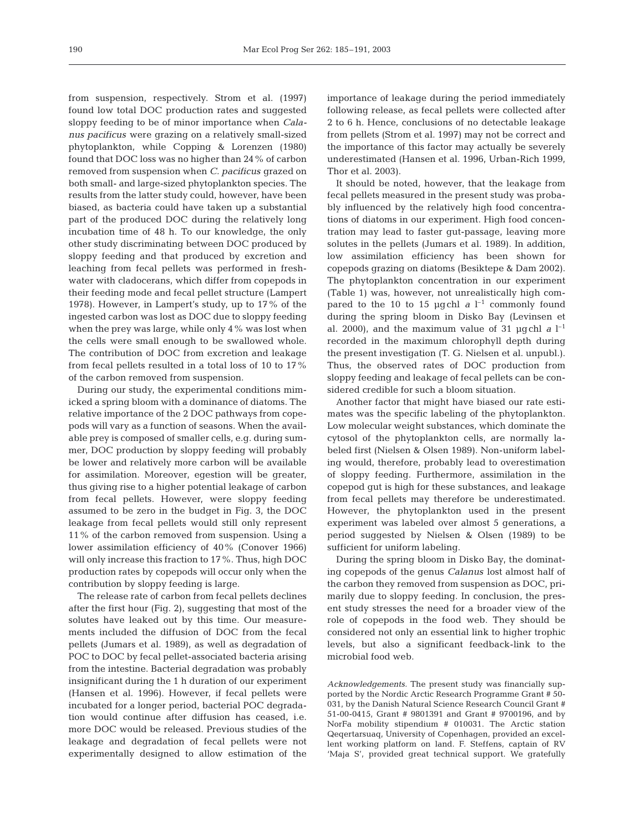from suspension, respectively. Strom et al. (1997) found low total DOC production rates and suggested sloppy feeding to be of minor importance when *Calanus pacificus* were grazing on a relatively small-sized phytoplankton, while Copping & Lorenzen (1980) found that DOC loss was no higher than 24% of carbon removed from suspension when *C. pacificus* grazed on both small- and large-sized phytoplankton species. The results from the latter study could, however, have been biased, as bacteria could have taken up a substantial part of the produced DOC during the relatively long incubation time of 48 h. To our knowledge, the only other study discriminating between DOC produced by sloppy feeding and that produced by excretion and leaching from fecal pellets was performed in freshwater with cladocerans, which differ from copepods in their feeding mode and fecal pellet structure (Lampert 1978). However, in Lampert's study, up to 17% of the ingested carbon was lost as DOC due to sloppy feeding when the prey was large, while only 4% was lost when the cells were small enough to be swallowed whole. The contribution of DOC from excretion and leakage from fecal pellets resulted in a total loss of 10 to 17% of the carbon removed from suspension.

During our study, the experimental conditions mimicked a spring bloom with a dominance of diatoms. The relative importance of the 2 DOC pathways from copepods will vary as a function of seasons. When the available prey is composed of smaller cells, e.g. during summer, DOC production by sloppy feeding will probably be lower and relatively more carbon will be available for assimilation. Moreover, egestion will be greater, thus giving rise to a higher potential leakage of carbon from fecal pellets. However, were sloppy feeding assumed to be zero in the budget in Fig. 3, the DOC leakage from fecal pellets would still only represent 11% of the carbon removed from suspension. Using a lower assimilation efficiency of 40% (Conover 1966) will only increase this fraction to 17%. Thus, high DOC production rates by copepods will occur only when the contribution by sloppy feeding is large.

The release rate of carbon from fecal pellets declines after the first hour (Fig. 2), suggesting that most of the solutes have leaked out by this time. Our measurements included the diffusion of DOC from the fecal pellets (Jumars et al. 1989), as well as degradation of POC to DOC by fecal pellet-associated bacteria arising from the intestine. Bacterial degradation was probably insignificant during the 1 h duration of our experiment (Hansen et al. 1996). However, if fecal pellets were incubated for a longer period, bacterial POC degradation would continue after diffusion has ceased, i.e. more DOC would be released. Previous studies of the leakage and degradation of fecal pellets were not experimentally designed to allow estimation of the

importance of leakage during the period immediately following release, as fecal pellets were collected after 2 to 6 h. Hence, conclusions of no detectable leakage from pellets (Strom et al. 1997) may not be correct and the importance of this factor may actually be severely underestimated (Hansen et al. 1996, Urban-Rich 1999, Thor et al. 2003).

It should be noted, however, that the leakage from fecal pellets measured in the present study was probably influenced by the relatively high food concentrations of diatoms in our experiment. High food concentration may lead to faster gut-passage, leaving more solutes in the pellets (Jumars et al. 1989). In addition, low assimilation efficiency has been shown for copepods grazing on diatoms (Besiktepe & Dam 2002). The phytoplankton concentration in our experiment (Table 1) was, however, not unrealistically high compared to the 10 to 15  $\mu$ gchl *a*  $l^{-1}$  commonly found during the spring bloom in Disko Bay (Levinsen et al. 2000), and the maximum value of 31  $\mu$ gchl *a* l<sup>-1</sup> recorded in the maximum chlorophyll depth during the present investigation (T. G. Nielsen et al. unpubl.). Thus, the observed rates of DOC production from sloppy feeding and leakage of fecal pellets can be considered credible for such a bloom situation.

Another factor that might have biased our rate estimates was the specific labeling of the phytoplankton. Low molecular weight substances, which dominate the cytosol of the phytoplankton cells, are normally labeled first (Nielsen & Olsen 1989). Non-uniform labeling would, therefore, probably lead to overestimation of sloppy feeding. Furthermore, assimilation in the copepod gut is high for these substances, and leakage from fecal pellets may therefore be underestimated. However, the phytoplankton used in the present experiment was labeled over almost 5 generations, a period suggested by Nielsen & Olsen (1989) to be sufficient for uniform labeling.

During the spring bloom in Disko Bay, the dominating copepods of the genus *Calanus* lost almost half of the carbon they removed from suspension as DOC, primarily due to sloppy feeding. In conclusion, the present study stresses the need for a broader view of the role of copepods in the food web. They should be considered not only an essential link to higher trophic levels, but also a significant feedback-link to the microbial food web.

*Acknowledgements.* The present study was financially supported by the Nordic Arctic Research Programme Grant # 50- 031, by the Danish Natural Science Research Council Grant # 51-00-0415, Grant # 9801391 and Grant # 9700196, and by NorFa mobility stipendium # 010031. The Arctic station Qeqertarsuaq, University of Copenhagen, provided an excellent working platform on land. F. Steffens, captain of RV 'Maja S', provided great technical support. We gratefully